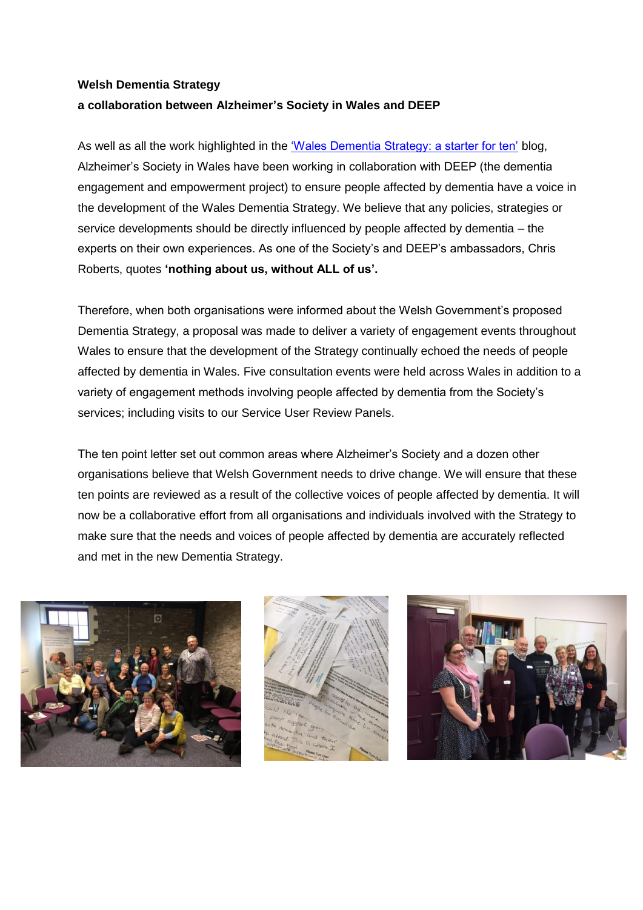## **Welsh Dementia Strategy a collaboration between Alzheimer's Society in Wales and DEEP**

As well as all the work highlighted in the ['Wales Dementia Strategy: a starter for ten'](https://blog.alzheimers.org.uk/campaigns/wales-dementia-strategy-a-starter-for-ten/) blog, Alzheimer's Society in Wales have been working in collaboration with DEEP (the dementia engagement and empowerment project) to ensure people affected by dementia have a voice in the development of the Wales Dementia Strategy. We believe that any policies, strategies or service developments should be directly influenced by people affected by dementia – the experts on their own experiences. As one of the Society's and DEEP's ambassadors, Chris Roberts, quotes **'nothing about us, without ALL of us'.**

Therefore, when both organisations were informed about the Welsh Government's proposed Dementia Strategy, a proposal was made to deliver a variety of engagement events throughout Wales to ensure that the development of the Strategy continually echoed the needs of people affected by dementia in Wales. Five consultation events were held across Wales in addition to a variety of engagement methods involving people affected by dementia from the Society's services; including visits to our Service User Review Panels.

The ten point letter set out common areas where Alzheimer's Society and a dozen other organisations believe that Welsh Government needs to drive change. We will ensure that these ten points are reviewed as a result of the collective voices of people affected by dementia. It will now be a collaborative effort from all organisations and individuals involved with the Strategy to make sure that the needs and voices of people affected by dementia are accurately reflected and met in the new Dementia Strategy.





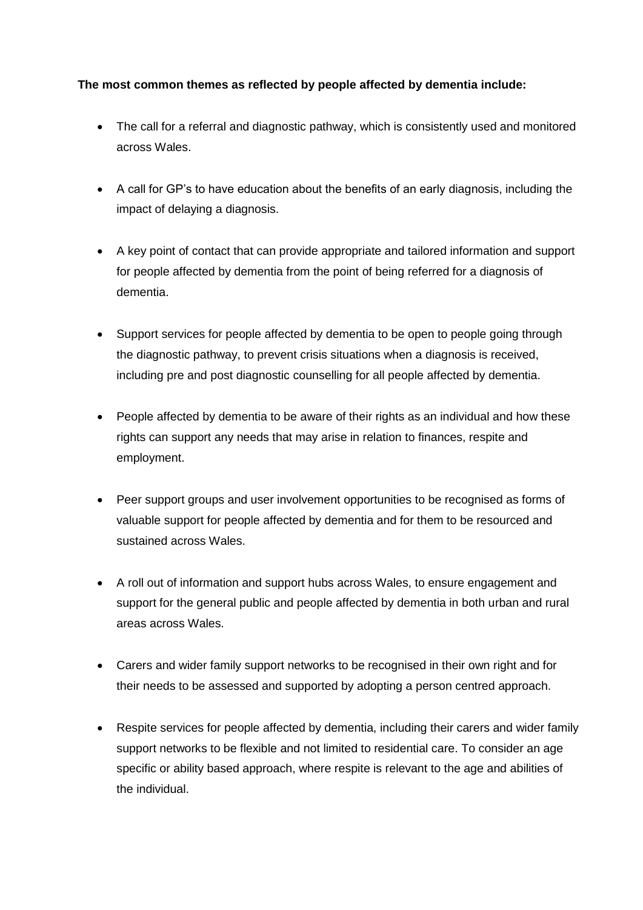## **The most common themes as reflected by people affected by dementia include:**

- The call for a referral and diagnostic pathway, which is consistently used and monitored across Wales.
- A call for GP's to have education about the benefits of an early diagnosis, including the impact of delaying a diagnosis.
- A key point of contact that can provide appropriate and tailored information and support for people affected by dementia from the point of being referred for a diagnosis of dementia.
- Support services for people affected by dementia to be open to people going through the diagnostic pathway, to prevent crisis situations when a diagnosis is received, including pre and post diagnostic counselling for all people affected by dementia.
- People affected by dementia to be aware of their rights as an individual and how these rights can support any needs that may arise in relation to finances, respite and employment.
- Peer support groups and user involvement opportunities to be recognised as forms of valuable support for people affected by dementia and for them to be resourced and sustained across Wales.
- A roll out of information and support hubs across Wales, to ensure engagement and support for the general public and people affected by dementia in both urban and rural areas across Wales.
- Carers and wider family support networks to be recognised in their own right and for their needs to be assessed and supported by adopting a person centred approach.
- Respite services for people affected by dementia, including their carers and wider family support networks to be flexible and not limited to residential care. To consider an age specific or ability based approach, where respite is relevant to the age and abilities of the individual.